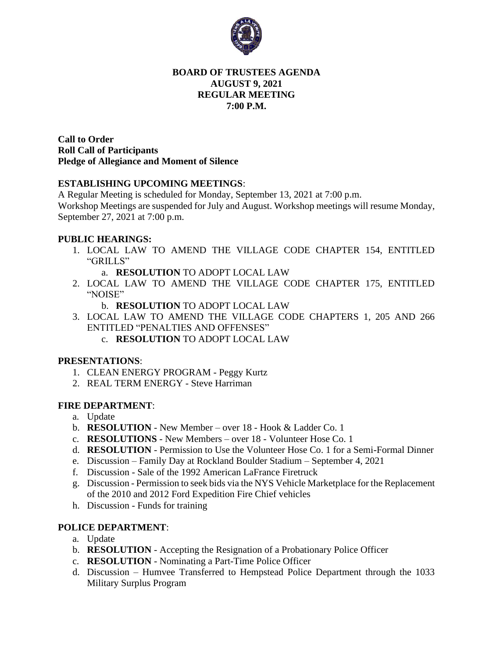

### **BOARD OF TRUSTEES AGENDA AUGUST 9, 2021 REGULAR MEETING 7:00 P.M.**

**Call to Order Roll Call of Participants Pledge of Allegiance and Moment of Silence** 

## **ESTABLISHING UPCOMING MEETINGS**:

A Regular Meeting is scheduled for Monday, September 13, 2021 at 7:00 p.m.

Workshop Meetings are suspended for July and August. Workshop meetings will resume Monday, September 27, 2021 at 7:00 p.m.

## **PUBLIC HEARINGS:**

1. LOCAL LAW TO AMEND THE VILLAGE CODE CHAPTER 154, ENTITLED "GRILLS"

a. **RESOLUTION** TO ADOPT LOCAL LAW

- 2. LOCAL LAW TO AMEND THE VILLAGE CODE CHAPTER 175, ENTITLED "NOISE"
	- b. **RESOLUTION** TO ADOPT LOCAL LAW
- 3. LOCAL LAW TO AMEND THE VILLAGE CODE CHAPTERS 1, 205 AND 266 ENTITLED "PENALTIES AND OFFENSES"
	- c. **RESOLUTION** TO ADOPT LOCAL LAW

#### **PRESENTATIONS**:

- 1. CLEAN ENERGY PROGRAM Peggy Kurtz
- 2. REAL TERM ENERGY Steve Harriman

#### **FIRE DEPARTMENT**:

- a. Update
- b. **RESOLUTION** New Member over 18 Hook & Ladder Co. 1
- c. **RESOLUTIONS** New Members over 18 Volunteer Hose Co. 1
- d. **RESOLUTION** Permission to Use the Volunteer Hose Co. 1 for a Semi-Formal Dinner
- e. Discussion Family Day at Rockland Boulder Stadium September 4, 2021
- f. Discussion Sale of the 1992 American LaFrance Firetruck
- g. Discussion Permission to seek bids via the NYS Vehicle Marketplace for the Replacement of the 2010 and 2012 Ford Expedition Fire Chief vehicles
- h. Discussion Funds for training

# **POLICE DEPARTMENT**:

- a. Update
- b. **RESOLUTION** Accepting the Resignation of a Probationary Police Officer
- c. **RESOLUTION** Nominating a Part-Time Police Officer
- d. Discussion Humvee Transferred to Hempstead Police Department through the 1033 Military Surplus Program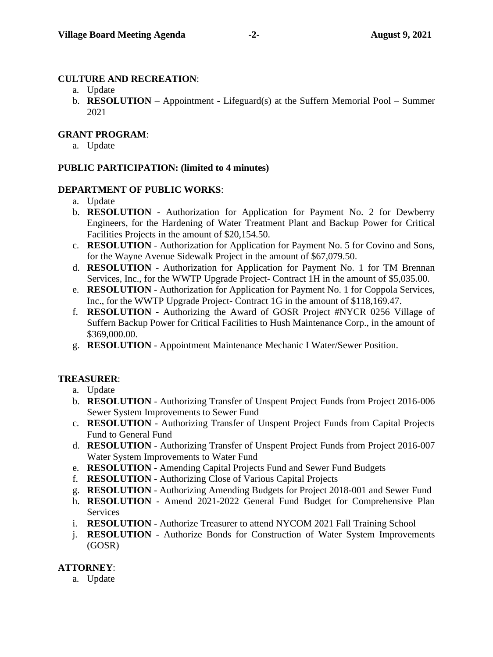# **CULTURE AND RECREATION**:

- a. Update
- b. **RESOLUTION** Appointment Lifeguard(s) at the Suffern Memorial Pool Summer 2021

### **GRANT PROGRAM**:

a. Update

## **PUBLIC PARTICIPATION: (limited to 4 minutes)**

### **DEPARTMENT OF PUBLIC WORKS**:

- a. Update
- b. **RESOLUTION** Authorization for Application for Payment No. 2 for Dewberry Engineers, for the Hardening of Water Treatment Plant and Backup Power for Critical Facilities Projects in the amount of \$20,154.50.
- c. **RESOLUTION** Authorization for Application for Payment No. 5 for Covino and Sons, for the Wayne Avenue Sidewalk Project in the amount of \$67,079.50.
- d. **RESOLUTION** Authorization for Application for Payment No. 1 for TM Brennan Services, Inc., for the WWTP Upgrade Project- Contract 1H in the amount of \$5,035.00.
- e. **RESOLUTION** Authorization for Application for Payment No. 1 for Coppola Services, Inc., for the WWTP Upgrade Project- Contract 1G in the amount of \$118,169.47.
- f. **RESOLUTION** Authorizing the Award of GOSR Project #NYCR 0256 Village of Suffern Backup Power for Critical Facilities to Hush Maintenance Corp., in the amount of \$369,000.00.
- g. **RESOLUTION** Appointment Maintenance Mechanic I Water/Sewer Position.

# **TREASURER**:

- a. Update
- b. **RESOLUTION** Authorizing Transfer of Unspent Project Funds from Project 2016-006 Sewer System Improvements to Sewer Fund
- c. **RESOLUTION** Authorizing Transfer of Unspent Project Funds from Capital Projects Fund to General Fund
- d. **RESOLUTION** Authorizing Transfer of Unspent Project Funds from Project 2016-007 Water System Improvements to Water Fund
- e. **RESOLUTION** Amending Capital Projects Fund and Sewer Fund Budgets
- f. **RESOLUTION** Authorizing Close of Various Capital Projects
- g. **RESOLUTION**  Authorizing Amending Budgets for Project 2018-001 and Sewer Fund
- h. **RESOLUTION** Amend 2021-2022 General Fund Budget for Comprehensive Plan **Services**
- i. **RESOLUTION** Authorize Treasurer to attend NYCOM 2021 Fall Training School
- j. **RESOLUTION** Authorize Bonds for Construction of Water System Improvements (GOSR)

# **ATTORNEY**:

a. Update